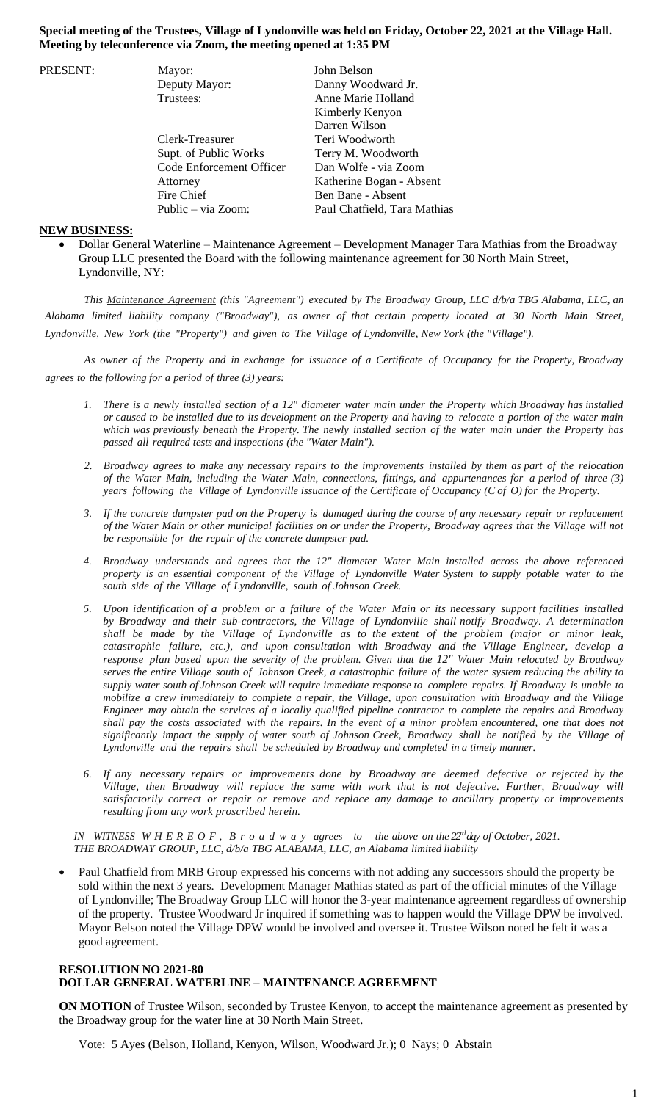## **Special meeting of the Trustees, Village of Lyndonville was held on Friday, October 22, 2021 at the Village Hall. Meeting by teleconference via Zoom, the meeting opened at 1:35 PM**

| PRESENT: | Mayor:                   | John Belson                  |
|----------|--------------------------|------------------------------|
|          | Deputy Mayor:            | Danny Woodward Jr.           |
|          | Trustees:                | Anne Marie Holland           |
|          |                          | Kimberly Kenyon              |
|          |                          | Darren Wilson                |
|          | Clerk-Treasurer          | Teri Woodworth               |
|          | Supt. of Public Works    | Terry M. Woodworth           |
|          | Code Enforcement Officer | Dan Wolfe - via Zoom         |
|          | Attorney                 | Katherine Bogan - Absent     |
|          | Fire Chief               | Ben Bane - Absent            |
|          | Public – via Zoom:       | Paul Chatfield, Tara Mathias |

## **NEW BUSINESS:**

 Dollar General Waterline – Maintenance Agreement – Development Manager Tara Mathias from the Broadway Group LLC presented the Board with the following maintenance agreement for 30 North Main Street, Lyndonville, NY:

*This Maintenance Agreement (this "Agreement") executed by The Broadway Group, LLC d/b/a TBG Alabama, LLC, an* Alabama limited liability company ("Broadway"), as owner of that certain property located at 30 North Main Street, *Lyndonville, New York (the "Property") and given to The Village of Lyndonville, New York (the "Village").*

As owner of the Property and in exchange for issuance of a Certificate of Occupancy for the Property, Broadway *agrees to the following for a period of three (3) years:*

- 1. There is a newly installed section of a 12" diameter water main under the Property which Broadway has installed or caused to be installed due to its development on the Property and having to relocate a portion of the water main which was previously beneath the Property. The newly installed section of the water main under the Property has *passed all required tests and inspections (the "Water Main").*
- 2. Broadway agrees to make any necessary repairs to the improvements installed by them as part of the relocation of the Water Main, including the Water Main, connections, fittings, and appurtenances for a period of three (3) years following the Village of Lyndonville issuance of the Certificate of Occupancy (C of O) for the Property.
- 3. If the concrete dumpster pad on the Property is damaged during the course of any necessary repair or replacement of the Water Main or other municipal facilities on or under the Property, Broadway agrees that the Village will not *be responsible for the repair of the concrete dumpster pad.*
- *4. Broadway understands and agrees that the 12" diameter Water Main installed across the above referenced* property is an essential component of the Village of Lyndonville Water System to supply potable water to the *south side of the Village of Lyndonville, south of Johnson Creek.*
- 5. Upon identification of a problem or a failure of the Water Main or its necessary support facilities installed *by Broadway and their sub-contractors, the Village of Lyndonville shall notify Broadway. A determination shall be made by the Village of Lyndonville as to the extent of the problem (major or minor leak, catastrophic failure, etc.), and upon consultation with Broadway and the Village Engineer, develop a response plan based upon the severity of the problem. Given that the 12" Water Main relocated by Broadway* serves the entire Village south of Johnson Creek, a catastrophic failure of the water system reducing the ability to supply water south of Johnson Creek will require immediate response to complete repairs. If Broadway is unable to mobilize a crew immediately to complete a repair, the Village, upon consultation with Broadway and the Village Engineer may obtain the services of a locally qualified pipeline contractor to complete the repairs and Broadway shall pay the costs associated with the repairs. In the event of a minor problem encountered, one that does not significantly impact the supply of water south of Johnson Creek, Broadway shall be notified by the Village of *Lyndonville and the repairs shall be scheduled by Broadway and completed in a timely manner.*
- *6. If any necessary repairs or improvements done by Broadway are deemed defective or rejected by the Village, then Broadway will replace the same with work that is not defective. Further, Broadway will satisfactorily correct or repair or remove and replace any damage to ancillary property or improvements resulting from any work proscribed herein.*

*IN WITNESS W H E R E O F , B r o a d w a y agrees to the above on the 22ndday of October, 2021. THE BROADWAY GROUP, LLC, d/b/a TBG ALABAMA, LLC, an Alabama limited liability*

 Paul Chatfield from MRB Group expressed his concerns with not adding any successors should the property be sold within the next 3 years. Development Manager Mathias stated as part of the official minutes of the Village of Lyndonville; The Broadway Group LLC will honor the 3-year maintenance agreement regardless of ownership of the property. Trustee Woodward Jr inquired if something was to happen would the Village DPW be involved. Mayor Belson noted the Village DPW would be involved and oversee it. Trustee Wilson noted he felt it was a good agreement.

## **RESOLUTION NO 2021-80 DOLLAR GENERAL WATERLINE – MAINTENANCE AGREEMENT**

**ON MOTION** of Trustee Wilson, seconded by Trustee Kenyon, to accept the maintenance agreement as presented by the Broadway group for the water line at 30 North Main Street.

Vote: 5 Ayes (Belson, Holland, Kenyon, Wilson, Woodward Jr.); 0 Nays; 0 Abstain